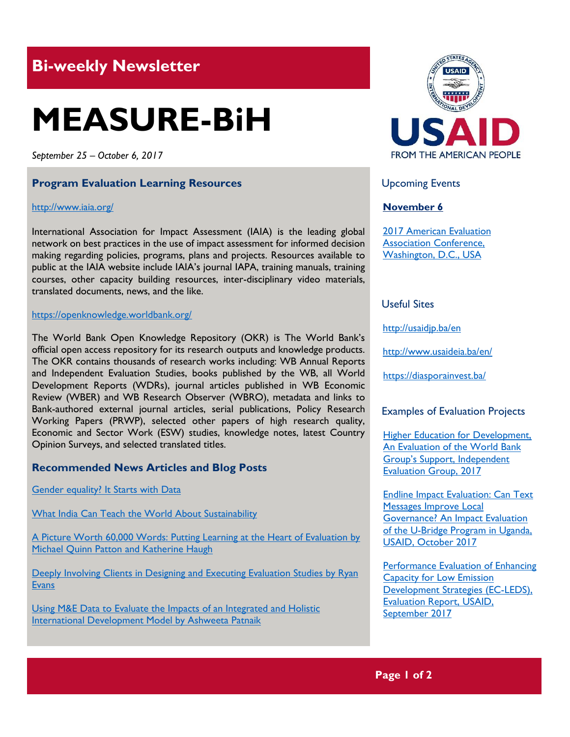# **Bi-weekly Newsletter**

# **MEASURE-BiH**

*September 25 – October 6, 2017*

### **Program Evaluation Learning Resources**

#### <http://www.iaia.org/>

International Association for Impact Assessment (IAIA) is the leading global network on best practices in the use of impact assessment for informed decision making regarding policies, programs, plans and projects. Resources available to public at the IAIA website include IAIA's journal IAPA, training manuals, training courses, other capacity building resources, inter-disciplinary video materials, translated documents, news, and the like.

#### <https://openknowledge.worldbank.org/>

The World Bank Open Knowledge Repository (OKR) is The World Bank's official open access repository for its research outputs and knowledge products. The OKR contains thousands of research works including: WB Annual Reports and Independent Evaluation Studies, books published by the WB, all World Development Reports (WDRs), journal articles published in WB Economic Review (WBER) and WB Research Observer (WBRO), metadata and links to Bank-authored external journal articles, serial publications, Policy Research Working Papers (PRWP), selected other papers of high research quality, Economic and Sector Work (ESW) studies, knowledge notes, latest Country Opinion Surveys, and selected translated titles.

#### **Recommended News Articles and Blog Posts**

[Gender equality? It Starts with Data](https://www.weforum.org/agenda/2017/09/gender-equality-it-starts-with-data?utm_content=buffera758e&utm_medium=social&utm_source=facebook.com&utm_campaign=buffer)

[What India Can Teach the World About Sustainability](https://www.weforum.org/agenda/2017/10/what-india-can-teach-the-world-about-sustainability)

[A Picture Worth 60,000 Words: Putting Learning at the Heart of Evaluation by](http://aea365.org/blog/a-picture-worth-60000-words-putting-learning-at-the-heart-of-evaluation-by-michael-quinn-patton-and-katherine-haugh/?utm_source=feedburner&utm_medium=feed&utm_campaign=Feed%3A+aea365+%28AEA365%29)  [Michael Quinn Patton and Katherine Haugh](http://aea365.org/blog/a-picture-worth-60000-words-putting-learning-at-the-heart-of-evaluation-by-michael-quinn-patton-and-katherine-haugh/?utm_source=feedburner&utm_medium=feed&utm_campaign=Feed%3A+aea365+%28AEA365%29)

Deeply Involving Clients in Designing and Executing Evaluation Studies by Ryan **[Evans](http://aea365.org/blog/deeply-involving-clients-in-designing-and-executing-evaluation-studies-by-ryan-evans/?utm_source=feedburner&utm_medium=feed&utm_campaign=Feed%3A+aea365+%28AEA365%29)** 

[Using M&E Data to Evaluate the Impacts of an Integrated and Holistic](http://aea365.org/blog/icce-tig-week-using-me-data-to-evaluate-the-impacts-of-an-integrated-and-holistic-international-development-model-by-ashweeta-patnaik/)  [International Development Model by Ashweeta Patnaik](http://aea365.org/blog/icce-tig-week-using-me-data-to-evaluate-the-impacts-of-an-integrated-and-holistic-international-development-model-by-ashweeta-patnaik/)



### Upcoming Events

### **November 6**

[2017 American Evaluation](http://mande.co.uk/conferences/?event_id1=31)  [Association Conference,](http://mande.co.uk/conferences/?event_id1=31)  [Washington, D.C., USA](http://mande.co.uk/conferences/?event_id1=31)

# Useful Sites

<http://usaidjp.ba/en>

<http://www.usaideia.ba/en/>

https://diasporainvest.ba/

## Examples of Evaluation Projects

**Higher Education for Development,** [An Evaluation of the World Bank](https://openknowledge.worldbank.org/bitstream/handle/10986/26486/113867-WP-PUBLIC.pdf?sequence=5&isAllowed=y)  Group['s Support, Independent](https://openknowledge.worldbank.org/bitstream/handle/10986/26486/113867-WP-PUBLIC.pdf?sequence=5&isAllowed=y)  [Evaluation Group, 2017](https://openknowledge.worldbank.org/bitstream/handle/10986/26486/113867-WP-PUBLIC.pdf?sequence=5&isAllowed=y)

**[Endline Impact Evaluation: Can Text](http://pdf.usaid.gov/pdf_docs/pa00n1tc.pdf)** [Messages Improve Local](http://pdf.usaid.gov/pdf_docs/pa00n1tc.pdf)  [Governance? An Impact Evaluation](http://pdf.usaid.gov/pdf_docs/pa00n1tc.pdf)  [of the U-Bridge Program in Uganda,](http://pdf.usaid.gov/pdf_docs/pa00n1tc.pdf)  [USAID, October 2017](http://pdf.usaid.gov/pdf_docs/pa00n1tc.pdf)

[Performance Evaluation of Enhancing](http://pdf.usaid.gov/pdf_docs/pa00n1p1.pdf)  [Capacity for Low Emission](http://pdf.usaid.gov/pdf_docs/pa00n1p1.pdf)  [Development Strategies \(EC-LEDS\),](http://pdf.usaid.gov/pdf_docs/pa00n1p1.pdf)  [Evaluation Report, USAID,](http://pdf.usaid.gov/pdf_docs/pa00n1p1.pdf)  [September 2017](http://pdf.usaid.gov/pdf_docs/pa00n1p1.pdf)